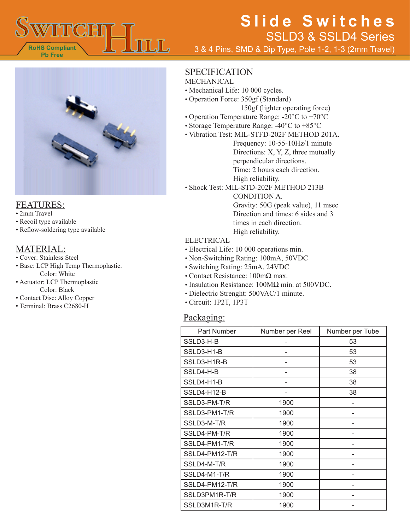

3 & 4 Pins, SMD & Dip Type, Pole 1-2, 1-3 (2mm Travel)



#### FEATURES:

- 2mm Travel
- Recoil type available
- Reflow-soldering type available

### MATERIAL:

- Cover: Stainless Steel
- Base: LCP High Temp Thermoplastic. Color: White
- Actuator: LCP Thermoplastic Color: Black
- Contact Disc: Alloy Copper
- Terminal: Brass C2680-H

### **SPECIFICATION**

- MECHANICAL
- Mechanical Life: 10 000 cycles.
- Operation Force: 350gf (Standard) 150gf (lighter operating force)
- Operation Temperature Range: -20°C to +70°C
- Storage Temperature Range: -40°C to +85°C
- Vibration Test: MIL-STFD-202F METHOD 201A.

Frequency: 10-55-10Hz/1 minute Directions: X, Y, Z, three mutually perpendicular directions. Time: 2 hours each direction. High reliability.

• Shock Test: MIL-STD-202F METHOD 213B

CONDITION A. Gravity: 50G (peak value), 11 msec Direction and times: 6 sides and 3 times in each direction. High reliability.

#### ELECTRICAL

- Electrical Life: 10 000 operations min.
- Non-Switching Rating: 100mA, 50VDC
- Switching Rating: 25mA, 24VDC
- Contact Resistance: 100mΩ max.
- Insulation Resistance: 100MΩ min. at 500VDC.
- Dielectric Strenght: 500VAC/1 minute.
- Circuit: 1P2T, 1P3T

### Packaging:

| Part Number    | Number per Reel | Number per Tube |
|----------------|-----------------|-----------------|
| SSLD3-H-B      |                 | 53              |
| SSLD3-H1-B     |                 | 53              |
| SSLD3-H1R-B    |                 | 53              |
| SSLD4-H-B      |                 | 38              |
| SSLD4-H1-B     |                 | 38              |
| SSLD4-H12-B    |                 | 38              |
| SSLD3-PM-T/R   | 1900            |                 |
| SSLD3-PM1-T/R  | 1900            |                 |
| SSLD3-M-T/R    | 1900            |                 |
| SSLD4-PM-T/R   | 1900            |                 |
| SSLD4-PM1-T/R  | 1900            |                 |
| SSLD4-PM12-T/R | 1900            |                 |
| SSLD4-M-T/R    | 1900            |                 |
| SSLD4-M1-T/R   | 1900            |                 |
| SSLD4-PM12-T/R | 1900            |                 |
| SSLD3PM1R-T/R  | 1900            |                 |
| SSLD3M1R-T/R   | 1900            |                 |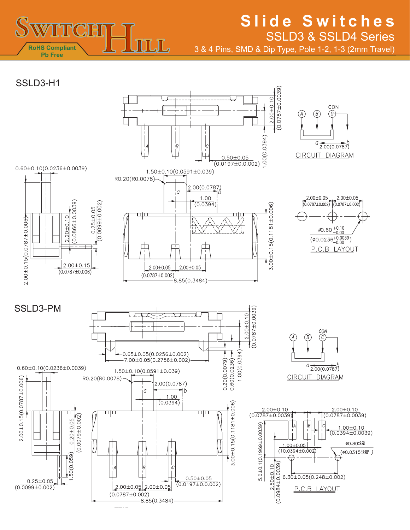

3 & 4 Pins, SMD & Dip Type, Pole 1-2, 1-3 (2mm Travel)

SSLD3-H1

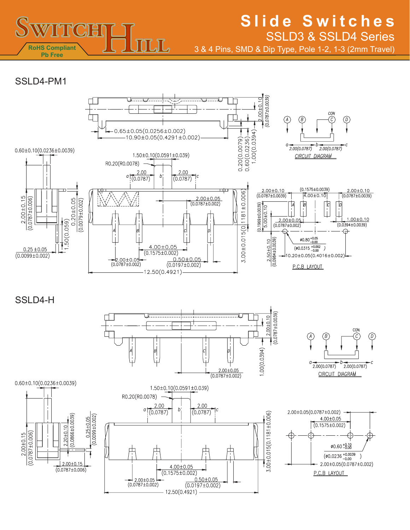

3 & 4 Pins, SMD & Dip Type, Pole 1-2, 1-3 (2mm Travel)

### SSI D<sub>4</sub>-PM<sub>1</sub>



SSI<sub>D4-H</sub>

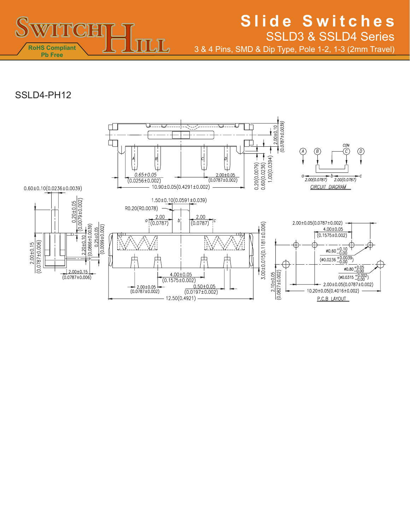

3 & 4 Pins, SMD & Dip Type, Pole 1-2, 1-3 (2mm Travel)

## SSLD4-PH12